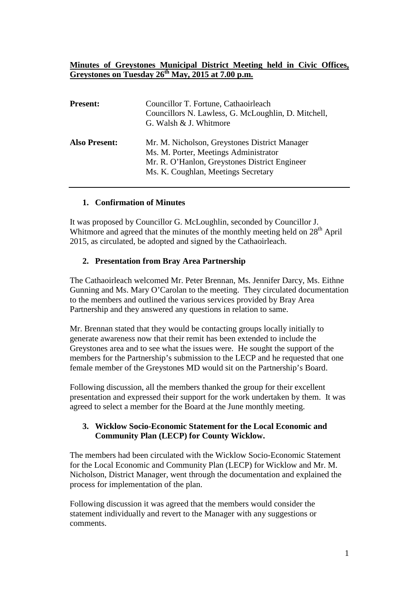## **Minutes of Greystones Municipal District Meeting held in Civic Offices, Greystones on Tuesday 26th May, 2015 at 7.00 p.m.**

| <b>Present:</b>      | Councillor T. Fortune, Cathaoirleach<br>Councillors N. Lawless, G. McLoughlin, D. Mitchell,<br>G. Walsh & J. Whitmore                                                          |
|----------------------|--------------------------------------------------------------------------------------------------------------------------------------------------------------------------------|
| <b>Also Present:</b> | Mr. M. Nicholson, Greystones District Manager<br>Ms. M. Porter, Meetings Administrator<br>Mr. R. O'Hanlon, Greystones District Engineer<br>Ms. K. Coughlan, Meetings Secretary |

## **1. Confirmation of Minutes**

It was proposed by Councillor G. McLoughlin, seconded by Councillor J. Whitmore and agreed that the minutes of the monthly meeting held on  $28<sup>th</sup>$  April 2015, as circulated, be adopted and signed by the Cathaoirleach.

## **2. Presentation from Bray Area Partnership**

The Cathaoirleach welcomed Mr. Peter Brennan, Ms. Jennifer Darcy, Ms. Eithne Gunning and Ms. Mary O'Carolan to the meeting. They circulated documentation to the members and outlined the various services provided by Bray Area Partnership and they answered any questions in relation to same.

Mr. Brennan stated that they would be contacting groups locally initially to generate awareness now that their remit has been extended to include the Greystones area and to see what the issues were. He sought the support of the members for the Partnership's submission to the LECP and he requested that one female member of the Greystones MD would sit on the Partnership's Board.

Following discussion, all the members thanked the group for their excellent presentation and expressed their support for the work undertaken by them. It was agreed to select a member for the Board at the June monthly meeting.

## **3. Wicklow Socio-Economic Statement for the Local Economic and Community Plan (LECP) for County Wicklow.**

The members had been circulated with the Wicklow Socio-Economic Statement for the Local Economic and Community Plan (LECP) for Wicklow and Mr. M. Nicholson, District Manager, went through the documentation and explained the process for implementation of the plan.

Following discussion it was agreed that the members would consider the statement individually and revert to the Manager with any suggestions or comments.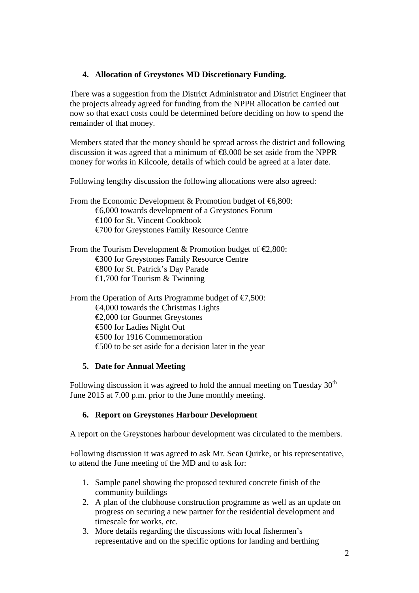# **4. Allocation of Greystones MD Discretionary Funding.**

There was a suggestion from the District Administrator and District Engineer that the projects already agreed for funding from the NPPR allocation be carried out now so that exact costs could be determined before deciding on how to spend the remainder of that money.

Members stated that the money should be spread across the district and following discussion it was agreed that a minimum of  $\epsilon$ 8,000 be set aside from the NPPR money for works in Kilcoole, details of which could be agreed at a later date.

Following lengthy discussion the following allocations were also agreed:

- From the Economic Development  $&$  Promotion budget of  $&6,800$ : €6,000 towards development of a Greystones Forum €100 for St. Vincent Cookbook €700 for Greystones Family Resource Centre
- From the Tourism Development & Promotion budget of  $\epsilon$ 2,800: €300 for Greystones Family Resource Centre €800 for St. Patrick's Day Parade  $\bigoplus$ ,700 for Tourism & Twinning

From the Operation of Arts Programme budget of  $\epsilon$ 7,500: €4,000 towards the Christmas Lights €2,000 for Gourmet Greystones €500 for Ladies Night Out €500 for 1916 Commemoration €500 to be set aside for a decision later in the year

## **5. Date for Annual Meeting**

Following discussion it was agreed to hold the annual meeting on Tuesday  $30<sup>th</sup>$ June 2015 at 7.00 p.m. prior to the June monthly meeting.

# **6. Report on Greystones Harbour Development**

A report on the Greystones harbour development was circulated to the members.

Following discussion it was agreed to ask Mr. Sean Quirke, or his representative, to attend the June meeting of the MD and to ask for:

- 1. Sample panel showing the proposed textured concrete finish of the community buildings
- 2. A plan of the clubhouse construction programme as well as an update on progress on securing a new partner for the residential development and timescale for works, etc.
- 3. More details regarding the discussions with local fishermen's representative and on the specific options for landing and berthing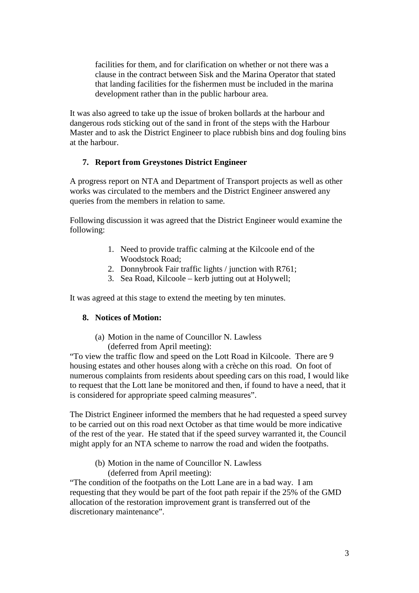facilities for them, and for clarification on whether or not there was a clause in the contract between Sisk and the Marina Operator that stated that landing facilities for the fishermen must be included in the marina development rather than in the public harbour area.

It was also agreed to take up the issue of broken bollards at the harbour and dangerous rods sticking out of the sand in front of the steps with the Harbour Master and to ask the District Engineer to place rubbish bins and dog fouling bins at the harbour.

## **7. Report from Greystones District Engineer**

A progress report on NTA and Department of Transport projects as well as other works was circulated to the members and the District Engineer answered any queries from the members in relation to same.

Following discussion it was agreed that the District Engineer would examine the following:

- 1. Need to provide traffic calming at the Kilcoole end of the Woodstock Road;
- 2. Donnybrook Fair traffic lights / junction with R761;
- 3. Sea Road, Kilcoole kerb jutting out at Holywell;

It was agreed at this stage to extend the meeting by ten minutes.

#### **8. Notices of Motion:**

(a) Motion in the name of Councillor N. Lawless (deferred from April meeting):

"To view the traffic flow and speed on the Lott Road in Kilcoole. There are 9 housing estates and other houses along with a crèche on this road. On foot of numerous complaints from residents about speeding cars on this road, I would like to request that the Lott lane be monitored and then, if found to have a need, that it is considered for appropriate speed calming measures".

The District Engineer informed the members that he had requested a speed survey to be carried out on this road next October as that time would be more indicative of the rest of the year. He stated that if the speed survey warranted it, the Council might apply for an NTA scheme to narrow the road and widen the footpaths.

(b) Motion in the name of Councillor N. Lawless (deferred from April meeting):

"The condition of the footpaths on the Lott Lane are in a bad way. I am requesting that they would be part of the foot path repair if the 25% of the GMD allocation of the restoration improvement grant is transferred out of the discretionary maintenance".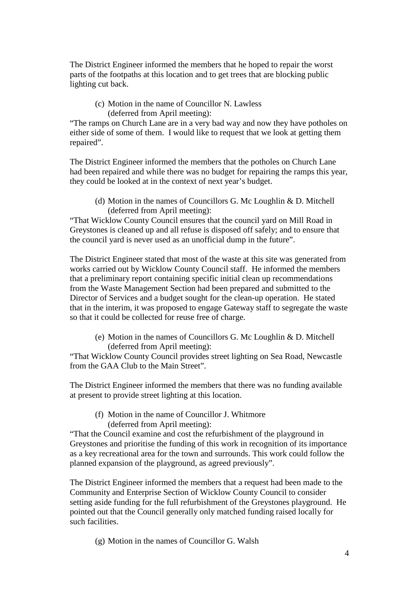The District Engineer informed the members that he hoped to repair the worst parts of the footpaths at this location and to get trees that are blocking public lighting cut back.

(c) Motion in the name of Councillor N. Lawless (deferred from April meeting):

"The ramps on Church Lane are in a very bad way and now they have potholes on either side of some of them. I would like to request that we look at getting them repaired".

The District Engineer informed the members that the potholes on Church Lane had been repaired and while there was no budget for repairing the ramps this year, they could be looked at in the context of next year's budget.

(d) Motion in the names of Councillors G. Mc Loughlin & D. Mitchell (deferred from April meeting):

"That Wicklow County Council ensures that the council yard on Mill Road in Greystones is cleaned up and all refuse is disposed off safely; and to ensure that the council yard is never used as an unofficial dump in the future".

The District Engineer stated that most of the waste at this site was generated from works carried out by Wicklow County Council staff. He informed the members that a preliminary report containing specific initial clean up recommendations from the Waste Management Section had been prepared and submitted to the Director of Services and a budget sought for the clean-up operation. He stated that in the interim, it was proposed to engage Gateway staff to segregate the waste so that it could be collected for reuse free of charge.

(e) Motion in the names of Councillors G. Mc Loughlin & D. Mitchell (deferred from April meeting):

"That Wicklow County Council provides street lighting on Sea Road, Newcastle from the GAA Club to the Main Street".

The District Engineer informed the members that there was no funding available at present to provide street lighting at this location.

(f) Motion in the name of Councillor J. Whitmore (deferred from April meeting):

"That the Council examine and cost the refurbishment of the playground in Greystones and prioritise the funding of this work in recognition of its importance as a key recreational area for the town and surrounds. This work could follow the planned expansion of the playground, as agreed previously".

The District Engineer informed the members that a request had been made to the Community and Enterprise Section of Wicklow County Council to consider setting aside funding for the full refurbishment of the Greystones playground. He pointed out that the Council generally only matched funding raised locally for such facilities.

(g) Motion in the names of Councillor G. Walsh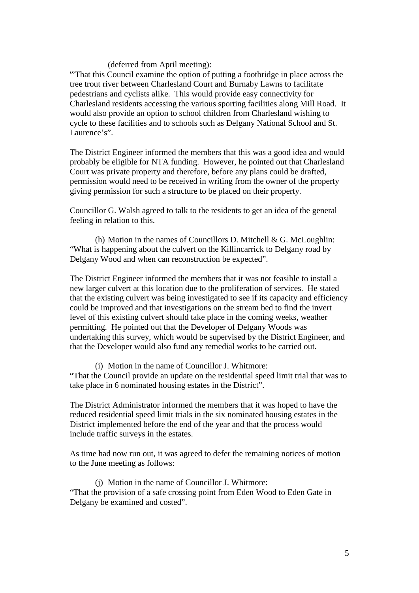#### (deferred from April meeting):

'"That this Council examine the option of putting a footbridge in place across the tree trout river between Charlesland Court and Burnaby Lawns to facilitate pedestrians and cyclists alike. This would provide easy connectivity for Charlesland residents accessing the various sporting facilities along Mill Road. It would also provide an option to school children from Charlesland wishing to cycle to these facilities and to schools such as Delgany National School and St. Laurence's".

The District Engineer informed the members that this was a good idea and would probably be eligible for NTA funding. However, he pointed out that Charlesland Court was private property and therefore, before any plans could be drafted, permission would need to be received in writing from the owner of the property giving permission for such a structure to be placed on their property.

Councillor G. Walsh agreed to talk to the residents to get an idea of the general feeling in relation to this.

(h) Motion in the names of Councillors D. Mitchell  $\&$  G. McLoughlin: "What is happening about the culvert on the Killincarrick to Delgany road by Delgany Wood and when can reconstruction be expected".

The District Engineer informed the members that it was not feasible to install a new larger culvert at this location due to the proliferation of services. He stated that the existing culvert was being investigated to see if its capacity and efficiency could be improved and that investigations on the stream bed to find the invert level of this existing culvert should take place in the coming weeks, weather permitting. He pointed out that the Developer of Delgany Woods was undertaking this survey, which would be supervised by the District Engineer, and that the Developer would also fund any remedial works to be carried out.

(i) Motion in the name of Councillor J. Whitmore:

"That the Council provide an update on the residential speed limit trial that was to take place in 6 nominated housing estates in the District".

The District Administrator informed the members that it was hoped to have the reduced residential speed limit trials in the six nominated housing estates in the District implemented before the end of the year and that the process would include traffic surveys in the estates.

As time had now run out, it was agreed to defer the remaining notices of motion to the June meeting as follows:

(j) Motion in the name of Councillor J. Whitmore: "That the provision of a safe crossing point from Eden Wood to Eden Gate in Delgany be examined and costed".